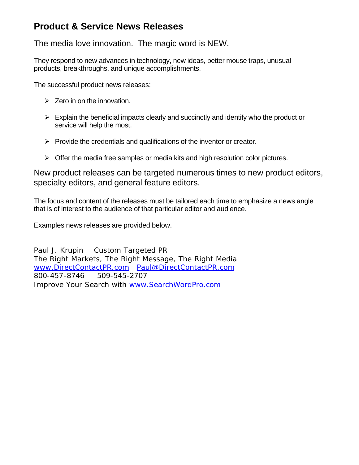# **Product & Service News Releases**

The media love innovation. The magic word is NEW.

They respond to new advances in technology, new ideas, better mouse traps, unusual products, breakthroughs, and unique accomplishments.

The successful product news releases:

- $\geq$  Zero in on the innovation.
- $\triangleright$  Explain the beneficial impacts clearly and succinctly and identify who the product or service will help the most.
- $\triangleright$  Provide the credentials and qualifications of the inventor or creator.
- $\triangleright$  Offer the media free samples or media kits and high resolution color pictures.

New product releases can be targeted numerous times to new product editors, specialty editors, and general feature editors.

The focus and content of the releases must be tailored each time to emphasize a news angle that is of interest to the audience of that particular editor and audience.

Examples news releases are provided below.

Paul J. Krupin Custom Targeted PR The Right Markets, The Right Message, The Right Media www.DirectContactPR.com Paul@DirectContactPR.com 800-457-8746 509-545-2707 Improve Your Search with www.SearchWordPro.com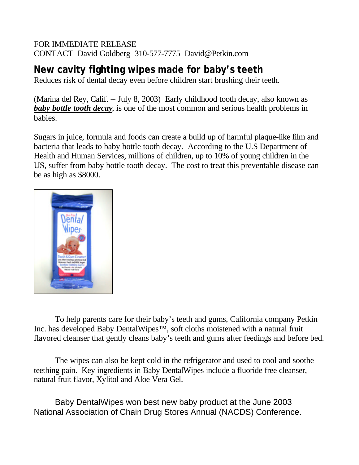## FOR IMMEDIATE RELEASE CONTACT David Goldberg 310-577-7775 David@Petkin.com

# **New cavity fighting wipes made for baby's teeth**

Reduces risk of dental decay even before children start brushing their teeth.

(Marina del Rey, Calif. -- July 8, 2003) Early childhood tooth decay, also known as *baby bottle tooth decay*, is one of the most common and serious health problems in babies.

Sugars in juice, formula and foods can create a build up of harmful plaque-like film and bacteria that leads to baby bottle tooth decay. According to the U.S Department of Health and Human Services, millions of children, up to 10% of young children in the US, suffer from baby bottle tooth decay. The cost to treat this preventable disease can be as high as \$8000.



To help parents care for their baby's teeth and gums, California company Petkin Inc. has developed Baby DentalWipes™, soft cloths moistened with a natural fruit flavored cleanser that gently cleans baby's teeth and gums after feedings and before bed.

The wipes can also be kept cold in the refrigerator and used to cool and soothe teething pain. Key ingredients in Baby DentalWipes include a fluoride free cleanser, natural fruit flavor, Xylitol and Aloe Vera Gel.

Baby DentalWipes won best new baby product at the June 2003 National Association of Chain Drug Stores Annual (NACDS) Conference.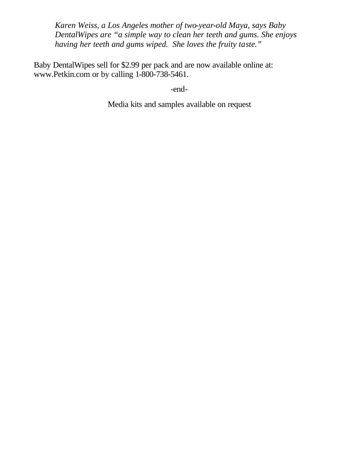*Karen Weiss, a Los Angeles mother of two-year-old Maya, says Baby DentalWipes are "a simple way to clean her teeth and gums. She enjoys having her teeth and gums wiped. She loves the fruity taste."* 

Baby DentalWipes sell for \$2.99 per pack and are now available online at: www.Petkin.com or by calling 1-800-738-5461.

-end-

Media kits and samples available on request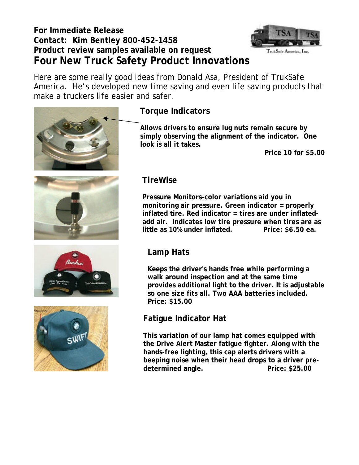# **For Immediate Release Contact: Kim Bentley 800-452-1458 Product review samples available on request Four New Truck Safety Product Innovations**



TrukSafe America, Inc.

Here are some really good ideas from Donald Asa, President of TrukSafe America. He's developed new time saving and even life saving products that make a truckers life easier and safer.



# **Torque Indicators**

**Allows drivers to ensure lug nuts remain secure by simply observing the alignment of the indicator. One look is all it takes.** 

**Price 10 for \$5.00**



# **TireWise**

**Pressure Monitors-color variations aid you in monitoring air pressure. Green indicator = properly inflated tire. Red indicator = tires are under inflatedadd air. Indicates low tire pressure when tires are as little as 10% under inflated. Price: \$6.50 ea.** 

# **Lamp Hats**

**Keeps the driver's hands free while performing a walk around inspection and at the same time provides additional light to the driver. It is adjustable so one size fits all. Two AAA batteries included. Price: \$15.00**

# **Fatigue Indicator Hat**

**This variation of our lamp hat comes equipped with the Drive Alert Master fatigue fighter. Along with the hands-free lighting, this cap alerts drivers with a beeping noise when their head drops to a driver pre**determined angle. **Price: \$25.00** 



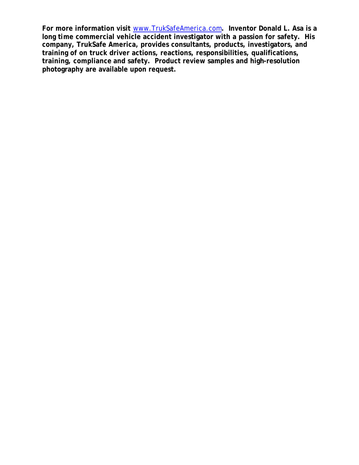**For more information visit** www.TrukSafeAmerica.com**. Inventor Donald L. Asa is a long time commercial vehicle accident investigator with a passion for safety. His company, TrukSafe America, provides consultants, products, investigators, and training of on truck driver actions, reactions, responsibilities, qualifications, training, compliance and safety. Product review samples and high-resolution photography are available upon request.**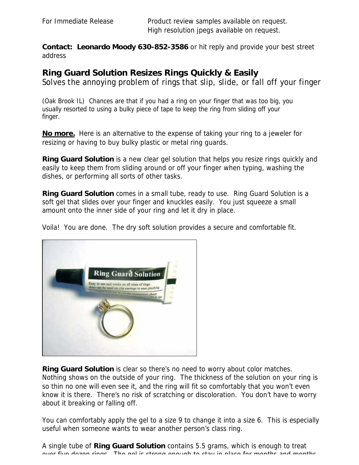**Contact: Leonardo Moody 630-852-3586** or hit reply and provide your best street address

### **Ring Guard Solution Resizes Rings Quickly & Easily**

Solves the annoying problem of rings that slip, slide, or fall off your finger

(Oak Brook IL) Chances are that if you had a ring on your finger that was too big, you usually resorted to using a bulky piece of tape to keep the ring from sliding off your finger.

**No more.** Here is an alternative to the expense of taking your ring to a jeweler for resizing or having to buy bulky plastic or metal ring guards.

*Ring Guard Solution* is a new clear gel solution that helps you resize rings quickly and easily to keep them from sliding around or off your finger when typing, washing the dishes, or performing all sorts of other tasks.

*Ring Guard Solution* comes in a small tube, ready to use. Ring Guard Solution is a soft gel that slides over your finger and knuckles easily. You just squeeze a small amount onto the inner side of your ring and let it dry in place.

Voila! You are done. The dry soft solution provides a secure and comfortable fit.



*Ring Guard Solution* is clear so there's no need to worry about color matches. Nothing shows on the outside of your ring. The thickness of the solution on your ring is so thin no one will even see it, and the ring will fit so comfortably that you won't even know it is there. There's no risk of scratching or discoloration. You don't have to worry about it breaking or falling off.

You can comfortably apply the gel to a size 9 to change it into a size 6. This is especially useful when someone wants to wear another person's class ring.

A single tube of *Ring Guard Solution* contains 5.5 grams, which is enough to treat over five dozen rings. The gel is strong enough to stay in place for months and months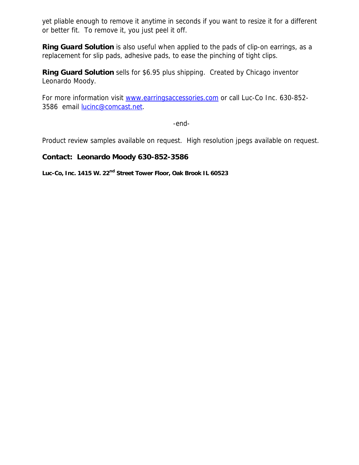yet pliable enough to remove it anytime in seconds if you want to resize it for a different or better fit. To remove it, you just peel it off.

**Ring Guard Solution** is also useful when applied to the pads of clip-on earrings, as a replacement for slip pads, adhesive pads, to ease the pinching of tight clips.

*Ring Guard Solution* sells for \$6.95 plus shipping. Created by Chicago inventor Leonardo Moody.

For more information visit www.earringsaccessories.com or call Luc-Co Inc. 630-852-3586 email lucinc@comcast.net.

-end-

Product review samples available on request. High resolution jpegs available on request.

#### **Contact: Leonardo Moody 630-852-3586**

**Luc-Co, Inc. 1415 W. 22nd Street Tower Floor, Oak Brook IL 60523**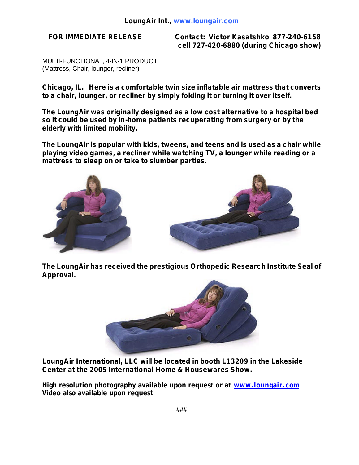**FOR IMMEDIATE RELEASE Contact: Victor Kasatshko 877-240-6158 cell 727-420-6880 (during Chicago show)**

MULTI-FUNCTIONAL, 4-IN-1 PRODUCT (Mattress, Chair, lounger, recliner)

**Chicago, IL. Here is a comfortable twin size inflatable air mattress that converts to a chair, lounger, or recliner by simply folding it or turning it over itself.**

**The LoungAir was originally designed as a low cost alternative to a hospital bed so it could be used by in-home patients recuperating from surgery or by the elderly with limited mobility.** 

**The LoungAir is popular with kids, tweens, and teens and is used as a chair while playing video games, a recliner while watching TV, a lounger while reading or a mattress to sleep on or take to slumber parties.** 



**The LoungAir has received the prestigious Orthopedic Research Institute Seal of Approval.** 



**LoungAir International, LLC will be located in booth L13209 in the Lakeside Center at the 2005 International Home & Housewares Show.**

**High resolution photography available upon request or at www.loungair.com Video also available upon request**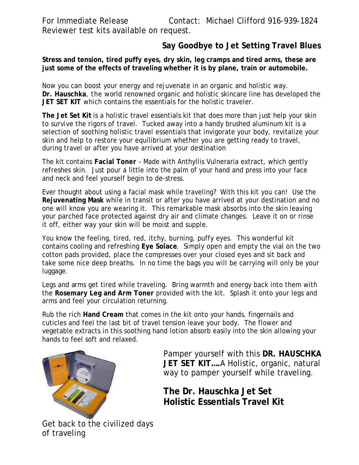For Immediate Release Contact: Michael Clifford 916-939-1824 Reviewer test kits available on request.

# **Say Goodbye to Jet Setting Travel Blues**

#### **Stress and tension, tired puffy eyes, dry skin, leg cramps and tired arms, these are just some of the effects of traveling whether it is by plane, train or automobile.**

Now you can boost your energy and rejuvenate in an organic and holistic way. **Dr. Hauschka**, the world renowned organic and holistic skincare line has developed the **JET SET KIT** which contains the essentials for the holistic traveler.

**The Jet Set Kit** is a holistic travel essentials kit that does more than just help your skin to survive the rigors of travel. Tucked away into a handy brushed aluminum kit is a selection of soothing holistic travel essentials that invigorate your body, revitalize your skin and help to restore your equilibrium whether you are getting ready to travel, during travel or after you have arrived at your destination

The kit contains **Facial Toner** – Made with Anthyllis Vulneraria extract, which gently refreshes skin. Just pour a little into the palm of your hand and press into your face and neck and feel yourself begin to de-stress.

Ever thought about using a facial mask while traveling? With this kit you can! Use the **Rejuvenating Mask** while in transit or after you have arrived at your destination and no one will know you are wearing it. This remarkable mask absorbs into the skin leaving your parched face protected against dry air and climate changes. Leave it on or rinse it off, either way your skin will be moist and supple.

You know the feeling, tired, red, itchy, burning, puffy eyes. This wonderful kit contains cooling and refreshing **Eye Solace**. Simply open and empty the vial on the two cotton pads provided, place the compresses over your closed eyes and sit back and take some nice deep breaths. In no time the bags you will be carrying will only be your luggage.

Legs and arms get tired while traveling. Bring warmth and energy back into them with the **Rosemary Leg and Arm Toner** provided with the kit. Splash it onto your legs and arms and feel your circulation returning.

Rub the rich **Hand Cream** that comes in the kit onto your hands, fingernails and cuticles and feel the last bit of travel tension leave your body. The flower and vegetable extracts in this soothing hand lotion absorb easily into the skin allowing your hands to feel soft and relaxed.



Pamper yourself with this **DR. HAUSCHKA JET SET KIT….**A Holistic, organic, natural way to pamper yourself while traveling.

**The Dr. Hauschka Jet Set Holistic Essentials Travel Kit**

Get back to the civilized days of traveling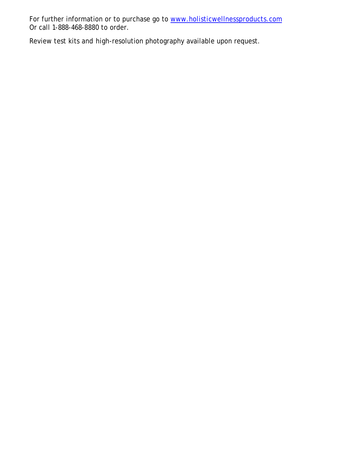For further information or to purchase go to www.holisticwellnessproducts.com Or call 1-888-468-8880 to order.

Review test kits and high-resolution photography available upon request.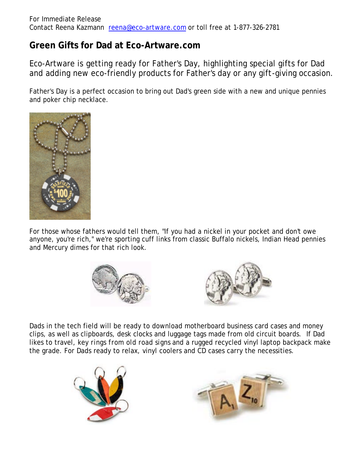# **Green Gifts for Dad at Eco-Artware.com**

Eco-Artware is getting ready for Father's Day, highlighting special gifts for Dad and adding new eco-friendly products for Father's day or any gift-giving occasion.

Father's Day is a perfect occasion to bring out Dad's green side with a new and unique pennies and poker chip necklace.



For those whose fathers would tell them, "If you had a nickel in your pocket and don't owe anyone, you're rich," we're sporting cuff links from classic Buffalo nickels, Indian Head pennies and Mercury dimes for that rich look.





Dads in the tech field will be ready to download motherboard business card cases and money clips, as well as clipboards, desk clocks and luggage tags made from old circuit boards. If Dad likes to travel, *key rings from old road signs* and a rugged recycled vinyl laptop backpack make the grade. For Dads ready to relax, vinyl coolers and CD cases carry the necessities.



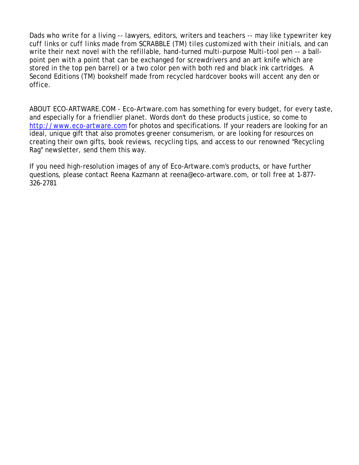Dads who write for a living -- lawyers, editors, writers and teachers -- may like *typewriter key cuff links or cuff links made from SCRABBLE (TM) tiles customized with their initials*, and can write their next novel with the refillable, hand-turned multi-purpose Multi-tool pen -- a ballpoint pen with a point that can be exchanged for screwdrivers and an art knife which are stored in the top pen barrel) or a two color pen with both red and black ink cartridges. A Second Editions (TM) bookshelf made from recycled hardcover books will accent any den or office.

ABOUT ECO-ARTWARE.COM - Eco-Artware.com has something for every budget, for every taste, and especially for a friendlier planet. Words don't do these products justice, so come to http://www.eco-artware.com for photos and specifications. If your readers are looking for an ideal, unique gift that also promotes greener consumerism, or are looking for resources on creating their own gifts, book reviews, recycling tips, and access to our renowned "Recycling Rag" newsletter, send them this way.

If you need high-resolution images of any of Eco-Artware.com's products, or have further questions, please contact Reena Kazmann at reena@eco-artware.com, or toll free at 1-877- 326-2781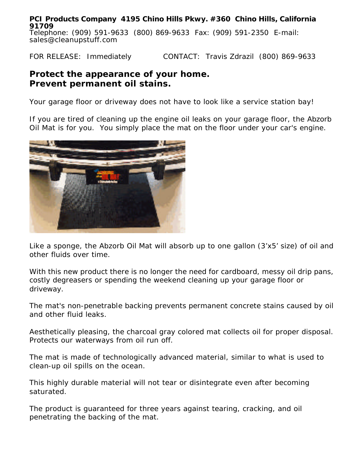**PCI Products Company 4195 Chino Hills Pkwy. #360 Chino Hills, California 91709** Telephone: (909) 591-9633 (800) 869-9633 Fax: (909) 591-2350 E-mail: sales@cleanupstuff.com

FOR RELEASE: Immediately CONTACT: Travis Zdrazil (800) 869-9633

# **Protect the appearance of your home. Prevent permanent oil stains.**

Your garage floor or driveway does not have to look like a service station bay!

If you are tired of cleaning up the engine oil leaks on your garage floor, the *Abzorb Oil Mat* is for you. You simply place the mat on the floor under your car's engine.



Like a sponge, the *Abzorb Oil Mat* will absorb up to one gallon (3'x5' size) of oil and other fluids over time.

With this new product there is no longer the need for cardboard, messy oil drip pans, costly degreasers or spending the weekend cleaning up your garage floor or driveway.

The mat's non-penetrable backing prevents permanent concrete stains caused by oil and other fluid leaks.

Aesthetically pleasing, the charcoal gray colored mat collects oil for proper disposal. Protects our waterways from oil run off.

The mat is made of technologically advanced material, similar to what is used to clean-up oil spills on the ocean.

This highly durable material will not tear or disintegrate even after becoming saturated.

The product is guaranteed for three years against tearing, cracking, and oil penetrating the backing of the mat.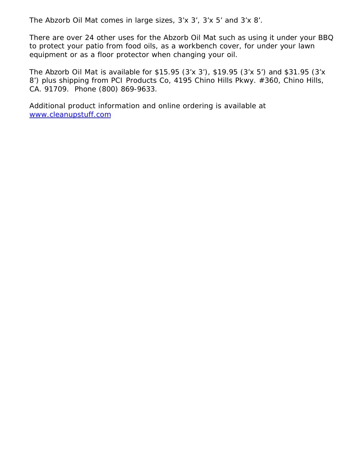The *Abzorb Oil Mat* comes in large sizes, 3'x 3', 3'x 5' and 3'x 8'.

There are over 24 other uses for the *Abzorb Oil Mat* such as using it under your BBQ to protect your patio from food oils, as a workbench cover, for under your lawn equipment or as a floor protector when changing your oil.

The *Abzorb Oil Mat* is available for \$15.95 (3'x 3'), \$19.95 (3'x 5') and \$31.95 (3'x 8') plus shipping from PCI Products Co, 4195 Chino Hills Pkwy. #360, Chino Hills, CA. 91709. Phone (800) 869-9633.

Additional product information and online ordering is available at www.cleanupstuff.com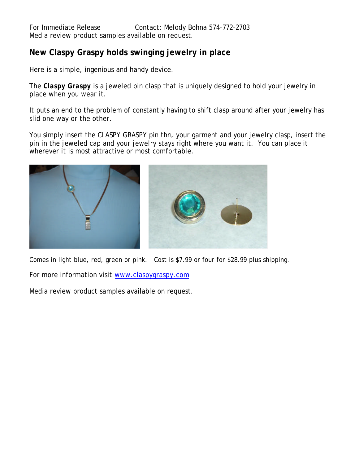# **New Claspy Graspy holds swinging jewelry in place**

Here is a simple, ingenious and handy device.

The *Claspy Graspy* is a jeweled pin clasp that is uniquely designed to hold your jewelry in place when you wear it.

It puts an end to the problem of constantly having to shift clasp around after your jewelry has slid one way or the other.

You simply insert the CLASPY GRASPY pin thru your garment and your jewelry clasp, insert the pin in the jeweled cap and your jewelry stays right where you want it. You can place it wherever it is most attractive or most comfortable.



Comes in light blue, red, green or pink. Cost is \$7.99 or four for \$28.99 plus shipping.

For more information visit www.claspygraspy.com

Media review product samples available on request.